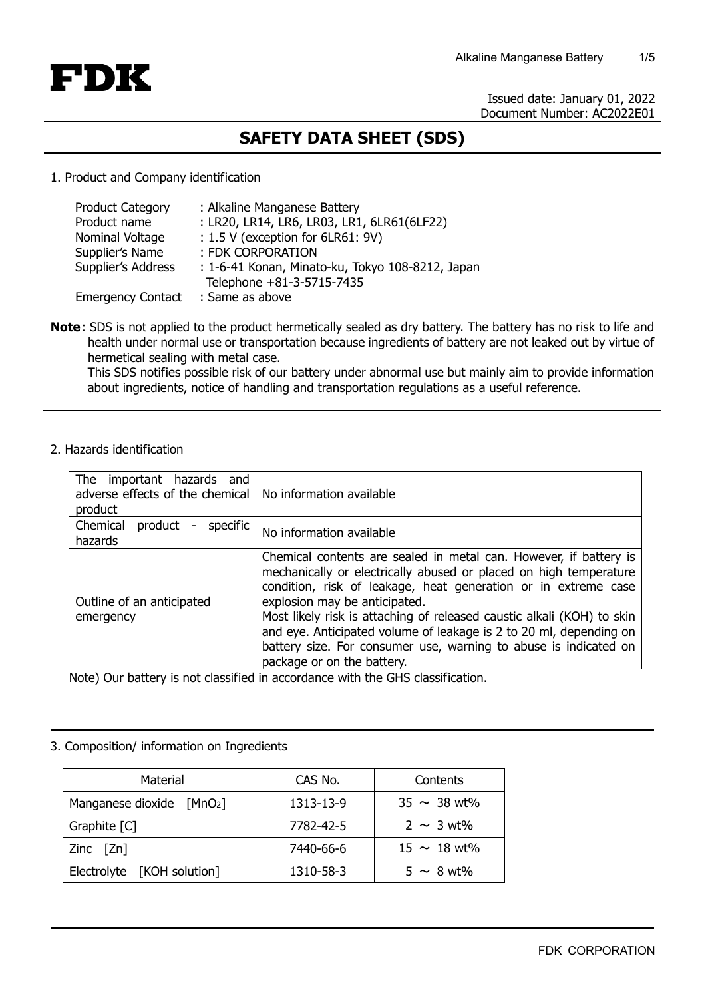

Issued date: January 01, 2022 Document Number: AC2022E01

# **SAFETY DATA SHEET (SDS)**

1. Product and Company identification

| <b>Product Category</b>  | : Alkaline Manganese Battery                     |
|--------------------------|--------------------------------------------------|
| Product name             | : LR20, LR14, LR6, LR03, LR1, 6LR61(6LF22)       |
| Nominal Voltage          | : 1.5 V (exception for 6LR61: 9V)                |
| Supplier's Name          | : FDK CORPORATION                                |
| Supplier's Address       | : 1-6-41 Konan, Minato-ku, Tokyo 108-8212, Japan |
|                          | Telephone +81-3-5715-7435                        |
| <b>Emergency Contact</b> | : Same as above                                  |

**Note** : SDS is not applied to the product hermetically sealed as dry battery. The battery has no risk to life and health under normal use or transportation because ingredients of battery are not leaked out by virtue of hermetical sealing with metal case.

This SDS notifies possible risk of our battery under abnormal use but mainly aim to provide information about ingredients, notice of handling and transportation regulations as a useful reference.

2. Hazards identification

| The important hazards and<br>adverse effects of the chemical   No information available<br>product |                                                                                                                                                                                                                                                                                                                                                                                                                                                                                             |
|----------------------------------------------------------------------------------------------------|---------------------------------------------------------------------------------------------------------------------------------------------------------------------------------------------------------------------------------------------------------------------------------------------------------------------------------------------------------------------------------------------------------------------------------------------------------------------------------------------|
| Chemical<br>specific<br>product<br>$\blacksquare$<br>hazards                                       | No information available                                                                                                                                                                                                                                                                                                                                                                                                                                                                    |
| Outline of an anticipated<br>emergency                                                             | Chemical contents are sealed in metal can. However, if battery is<br>mechanically or electrically abused or placed on high temperature<br>condition, risk of leakage, heat generation or in extreme case<br>explosion may be anticipated.<br>Most likely risk is attaching of released caustic alkali (KOH) to skin<br>and eye. Anticipated volume of leakage is 2 to 20 ml, depending on<br>battery size. For consumer use, warning to abuse is indicated on<br>package or on the battery. |

Note) Our battery is not classified in accordance with the GHS classification.

## 3. Composition/ information on Ingredients

| Material                   | CAS No.   | Contents         |
|----------------------------|-----------|------------------|
| Manganese dioxide $[MnO2]$ | 1313-13-9 | $35 \sim 38$ wt% |
| Graphite [C]               | 7782-42-5 | $2 \sim 3$ wt%   |
| Zinc $[\text{Zn}]$         | 7440-66-6 | $15 \sim 18$ wt% |
| Electrolyte [KOH solution] | 1310-58-3 | $5 \sim 8$ wt%   |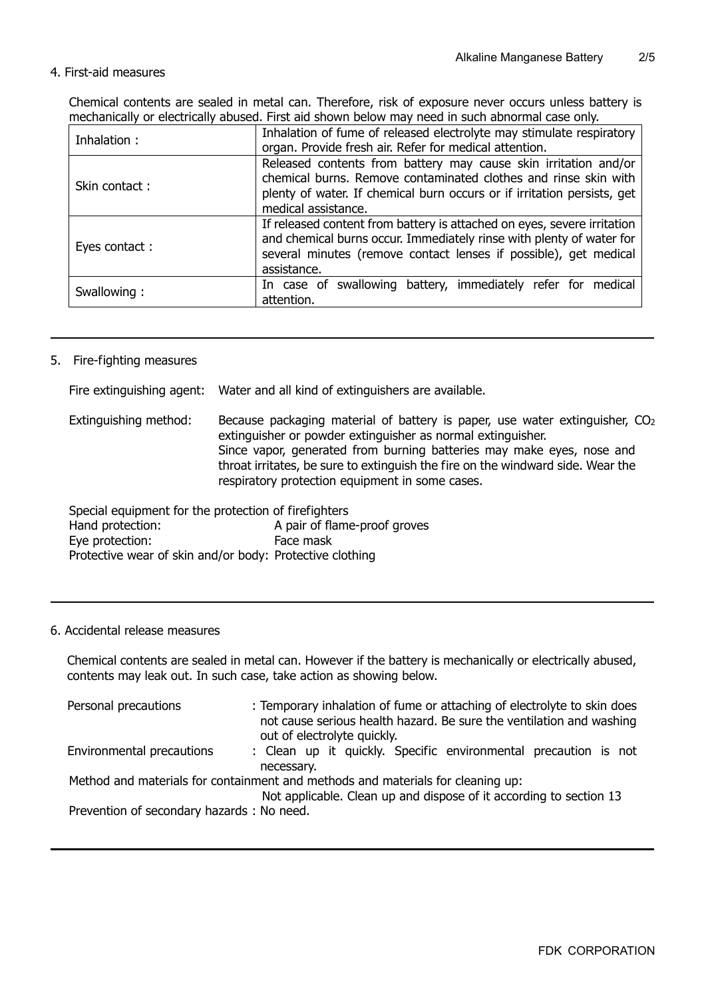## 4. First-aid measures

Chemical contents are sealed in metal can. Therefore, risk of exposure never occurs unless battery is mechanically or electrically abused. First aid shown below may need in such abnormal case only.

| Inhalation:   | Inhalation of fume of released electrolyte may stimulate respiratory<br>organ. Provide fresh air. Refer for medical attention.                                                                                                       |  |
|---------------|--------------------------------------------------------------------------------------------------------------------------------------------------------------------------------------------------------------------------------------|--|
| Skin contact: | Released contents from battery may cause skin irritation and/or<br>chemical burns. Remove contaminated clothes and rinse skin with<br>plenty of water. If chemical burn occurs or if irritation persists, get<br>medical assistance. |  |
| Eyes contact: | If released content from battery is attached on eyes, severe irritation<br>and chemical burns occur. Immediately rinse with plenty of water for<br>several minutes (remove contact lenses if possible), get medical<br>assistance.   |  |
| Swallowing:   | In case of swallowing battery, immediately refer for medical<br>attention.                                                                                                                                                           |  |

### 5. Fire-fighting measures

|                                                      | Fire extinguishing agent: Water and all kind of extinguishers are available.                                                                                                                                                                                                                                                                                |
|------------------------------------------------------|-------------------------------------------------------------------------------------------------------------------------------------------------------------------------------------------------------------------------------------------------------------------------------------------------------------------------------------------------------------|
| Extinguishing method:                                | Because packaging material of battery is paper, use water extinguisher, $CO2$<br>extinguisher or powder extinguisher as normal extinguisher.<br>Since vapor, generated from burning batteries may make eyes, nose and<br>throat irritates, be sure to extinguish the fire on the windward side. Wear the<br>respiratory protection equipment in some cases. |
| Special equipment for the protection of firefighters |                                                                                                                                                                                                                                                                                                                                                             |

| Special equipment for the protection of firefighters     |                              |
|----------------------------------------------------------|------------------------------|
| Hand protection:                                         | A pair of flame-proof groves |
| Eye protection:                                          | Face mask                    |
| Protective wear of skin and/or body: Protective clothing |                              |

## 6. Accidental release measures

Chemical contents are sealed in metal can. However if the battery is mechanically or electrically abused, contents may leak out. In such case, take action as showing below.

| Personal precautions                       | : Temporary inhalation of fume or attaching of electrolyte to skin does<br>not cause serious health hazard. Be sure the ventilation and washing<br>out of electrolyte quickly. |
|--------------------------------------------|--------------------------------------------------------------------------------------------------------------------------------------------------------------------------------|
| Environmental precautions                  | : Clean up it quickly. Specific environmental precaution is not<br>necessary.                                                                                                  |
|                                            | Method and materials for containment and methods and materials for cleaning up:<br>Not applicable. Clean up and dispose of it according to section 13                          |
| Prevention of secondary hazards : No need. |                                                                                                                                                                                |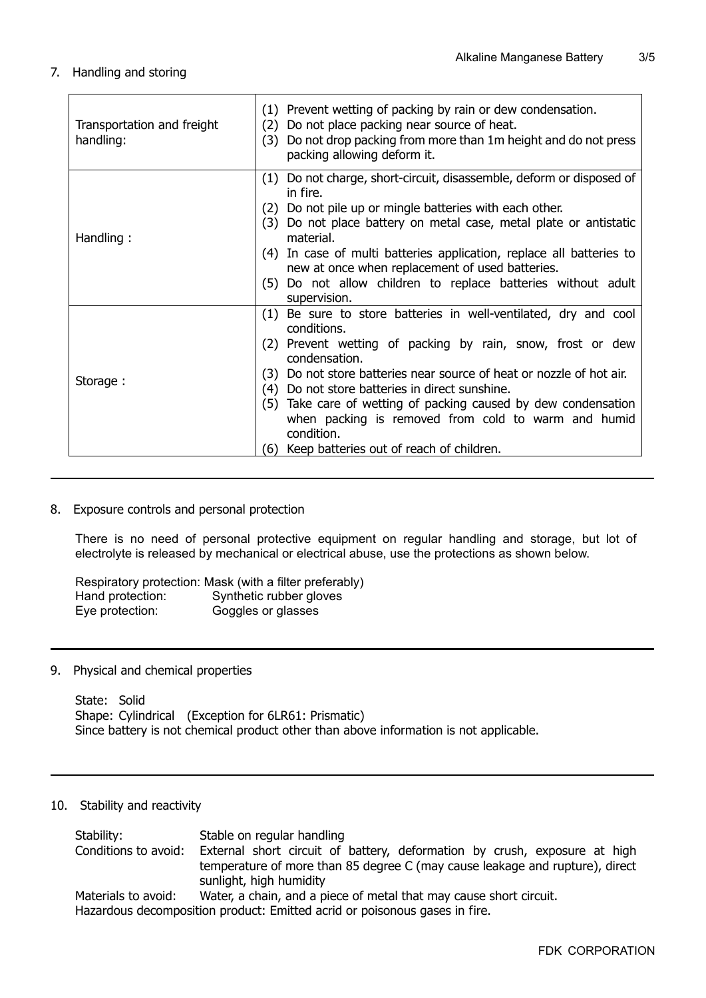## 7. Handling and storing

| Transportation and freight<br>handling: | (1) Prevent wetting of packing by rain or dew condensation.<br>Do not place packing near source of heat.<br>(2)<br>Do not drop packing from more than 1m height and do not press<br>(3)<br>packing allowing deform it.                                                                                                                                                                                                                                                                        |
|-----------------------------------------|-----------------------------------------------------------------------------------------------------------------------------------------------------------------------------------------------------------------------------------------------------------------------------------------------------------------------------------------------------------------------------------------------------------------------------------------------------------------------------------------------|
| Handling:                               | Do not charge, short-circuit, disassemble, deform or disposed of<br>(1)<br>in fire.<br>Do not pile up or mingle batteries with each other.<br>(2)<br>Do not place battery on metal case, metal plate or antistatic<br>(3)<br>material.<br>(4) In case of multi batteries application, replace all batteries to<br>new at once when replacement of used batteries.<br>(5) Do not allow children to replace batteries without adult<br>supervision.                                             |
| Storage:                                | Be sure to store batteries in well-ventilated, dry and cool<br>(1)<br>conditions.<br>(2) Prevent wetting of packing by rain, snow, frost or dew<br>condensation.<br>Do not store batteries near source of heat or nozzle of hot air.<br>(3)<br>Do not store batteries in direct sunshine.<br>(4)<br>(5)<br>Take care of wetting of packing caused by dew condensation<br>when packing is removed from cold to warm and humid<br>condition.<br>Keep batteries out of reach of children.<br>(6) |

#### 8. Exposure controls and personal protection

There is no need of personal protective equipment on regular handling and storage, but lot of electrolyte is released by mechanical or electrical abuse, use the protections as shown below.

|                  | Respiratory protection: Mask (with a filter preferably) |
|------------------|---------------------------------------------------------|
| Hand protection: | Synthetic rubber gloves                                 |
| Eye protection:  | Goggles or glasses                                      |

#### 9. Physical and chemical properties

State: Solid Shape: Cylindrical (Exception for 6LR61: Prismatic) Since battery is not chemical product other than above information is not applicable.

#### 10. Stability and reactivity

| Stability:           | Stable on regular handling                                                                              |
|----------------------|---------------------------------------------------------------------------------------------------------|
| Conditions to avoid: | External short circuit of battery, deformation by crush, exposure at high                               |
|                      | temperature of more than 85 degree C (may cause leakage and rupture), direct<br>sunlight, high humidity |
| Materials to avoid:  | Water, a chain, and a piece of metal that may cause short circuit.                                      |
|                      | Hazardaus decempesitien nreduct: Emitted asrid er peisonaus gasse in fire                               |

Hazardous decomposition product: Emitted acrid or poisonous gases in fire.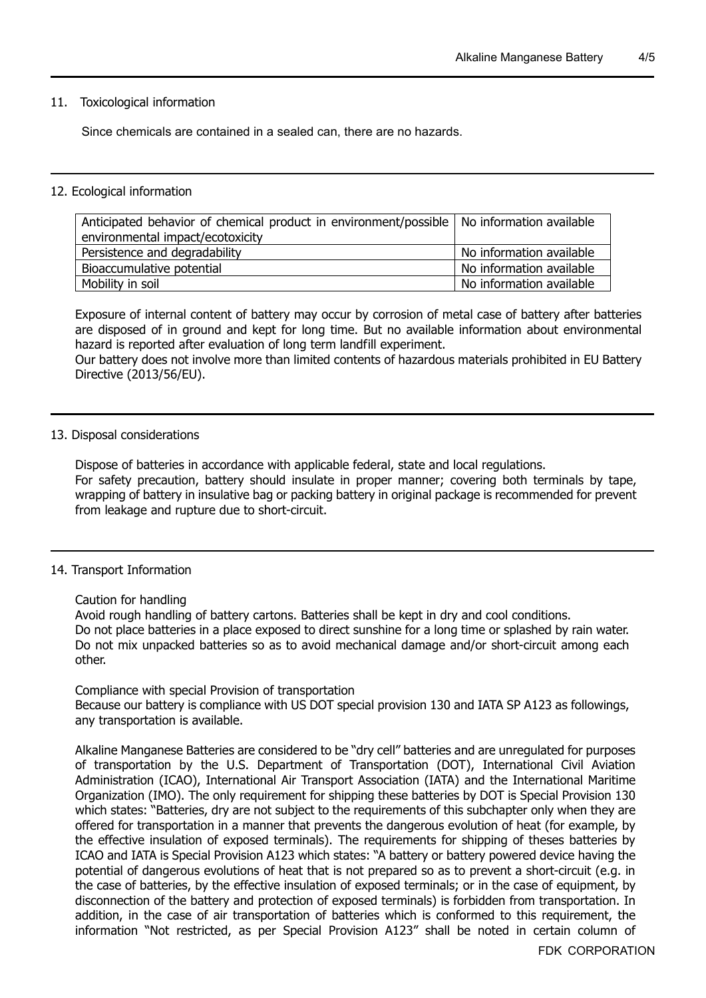#### 11. Toxicological information

Since chemicals are contained in a sealed can, there are no hazards.

#### 12. Ecological information

| Anticipated behavior of chemical product in environment/possible   No information available |                          |
|---------------------------------------------------------------------------------------------|--------------------------|
| environmental impact/ecotoxicity                                                            |                          |
| Persistence and degradability                                                               | No information available |
| Bioaccumulative potential                                                                   | No information available |
| Mobility in soil                                                                            | No information available |

Exposure of internal content of battery may occur by corrosion of metal case of battery after batteries are disposed of in ground and kept for long time. But no available information about environmental hazard is reported after evaluation of long term landfill experiment.

Our battery does not involve more than limited contents of hazardous materials prohibited in EU Battery Directive (2013/56/EU).

#### 13. Disposal considerations

Dispose of batteries in accordance with applicable federal, state and local regulations. For safety precaution, battery should insulate in proper manner; covering both terminals by tape, wrapping of battery in insulative bag or packing battery in original package is recommended for prevent from leakage and rupture due to short-circuit.

#### 14. Transport Information

Caution for handling

Avoid rough handling of battery cartons. Batteries shall be kept in dry and cool conditions. Do not place batteries in a place exposed to direct sunshine for a long time or splashed by rain water. Do not mix unpacked batteries so as to avoid mechanical damage and/or short-circuit among each other.

#### Compliance with special Provision of transportation

Because our battery is compliance with US DOT special provision 130 and IATA SP A123 as followings, any transportation is available.

Alkaline Manganese Batteries are considered to be "dry cell" batteries and are unregulated for purposes of transportation by the U.S. Department of Transportation (DOT), International Civil Aviation Administration (ICAO), International Air Transport Association (IATA) and the International Maritime Organization (IMO). The only requirement for shipping these batteries by DOT is Special Provision 130 which states: "Batteries, dry are not subject to the requirements of this subchapter only when they are offered for transportation in a manner that prevents the dangerous evolution of heat (for example, by the effective insulation of exposed terminals). The requirements for shipping of theses batteries by ICAO and IATA is Special Provision A123 which states: "A battery or battery powered device having the potential of dangerous evolutions of heat that is not prepared so as to prevent a short-circuit (e.g. in the case of batteries, by the effective insulation of exposed terminals; or in the case of equipment, by disconnection of the battery and protection of exposed terminals) is forbidden from transportation. In addition, in the case of air transportation of batteries which is conformed to this requirement, the information "Not restricted, as per Special Provision A123" shall be noted in certain column of